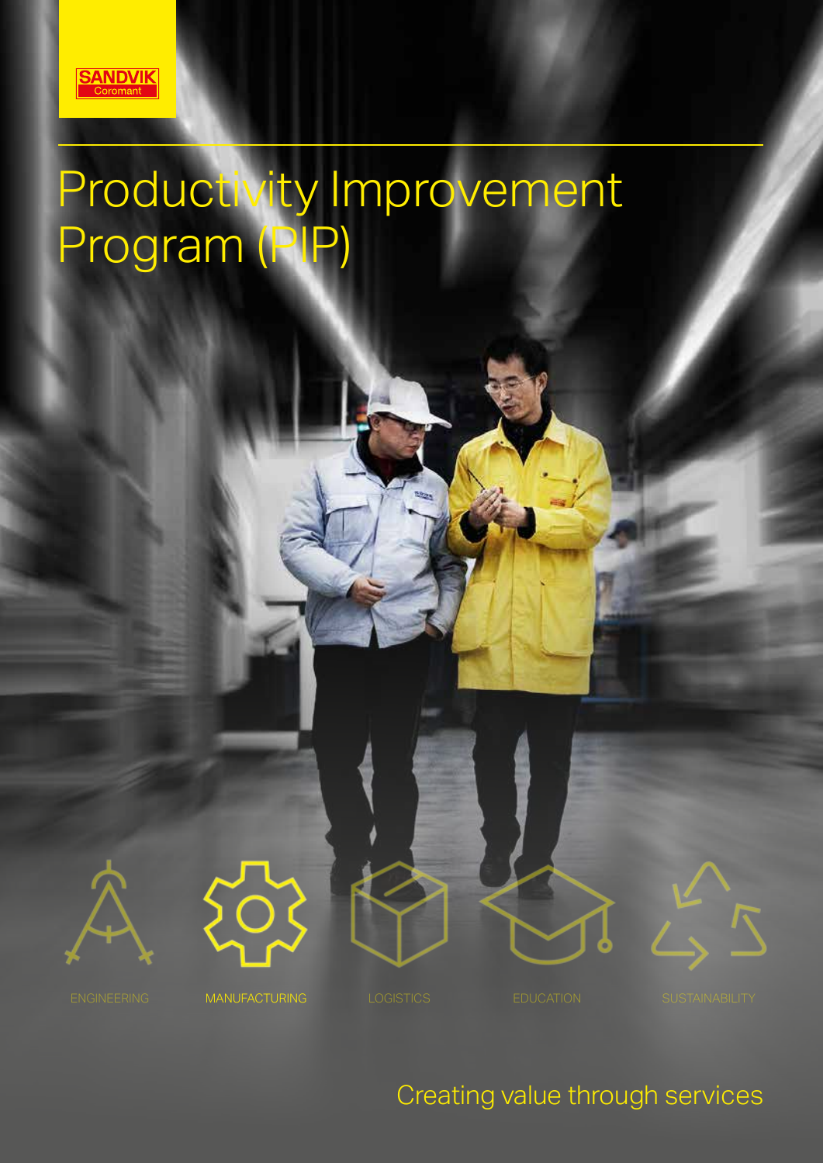

# Productivity Improvement Program (PIP)







Creating value through services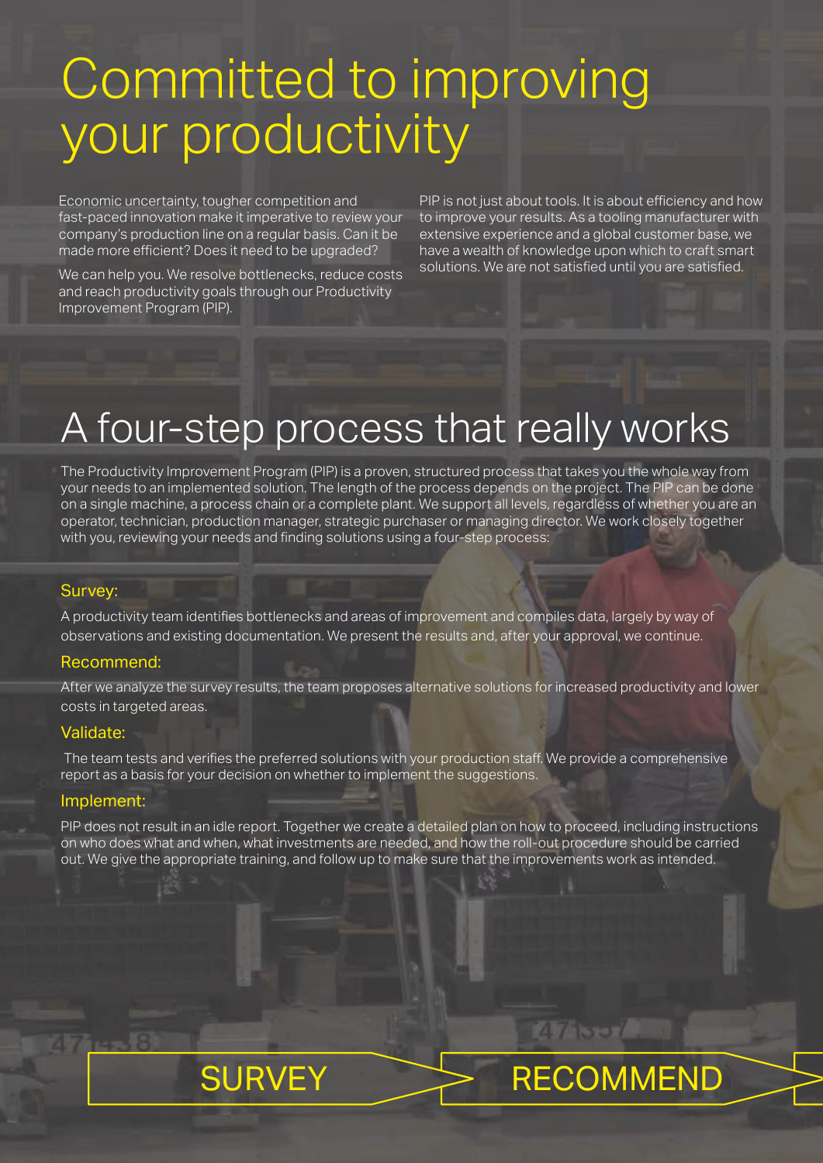## Committed to improving your productivity

Economic uncertainty, tougher competition and fast-paced innovation make it imperative to review your company's production line on a regular basis. Can it be made more efficient? Does it need to be upgraded?

We can help you. We resolve bottlenecks, reduce costs and reach productivity goals through our Productivity Improvement Program (PIP).

PIP is not just about tools. It is about efficiency and how to improve your results. As a tooling manufacturer with extensive experience and a global customer base, we have a wealth of knowledge upon which to craft smart solutions. We are not satisfied until you are satisfied.

**147 Ser** 

### A four-step process that really works

The Productivity Improvement Program (PIP) is a proven, structured process that takes you the whole way from your needs to an implemented solution. The length of the process depends on the project. The PIP can be done on a single machine, a process chain or a complete plant. We support all levels, regardless of whether you are an operator, technician, production manager, strategic purchaser or managing director. We work closely together with you, reviewing your needs and finding solutions using a four-step process:

#### Survey:

A productivity team identifies bottlenecks and areas of improvement and compiles data, largely by way of observations and existing documentation. We present the results and, after your approval, we continue.

#### Recommend:

After we analyze the survey results, the team proposes alternative solutions for increased productivity and lower costs in targeted areas.

#### Validate:

The team tests and verifies the preferred solutions with your production staff. We provide a comprehensive report as a basis for your decision on whether to implement the suggestions.

#### Implement:

PIP does not result in an idle report. Together we create a detailed plan on how to proceed, including instructions on who does what and when, what investments are needed, and how the roll-out procedure should be carried out. We give the appropriate training, and follow up to make sure that the improvements work as intended.

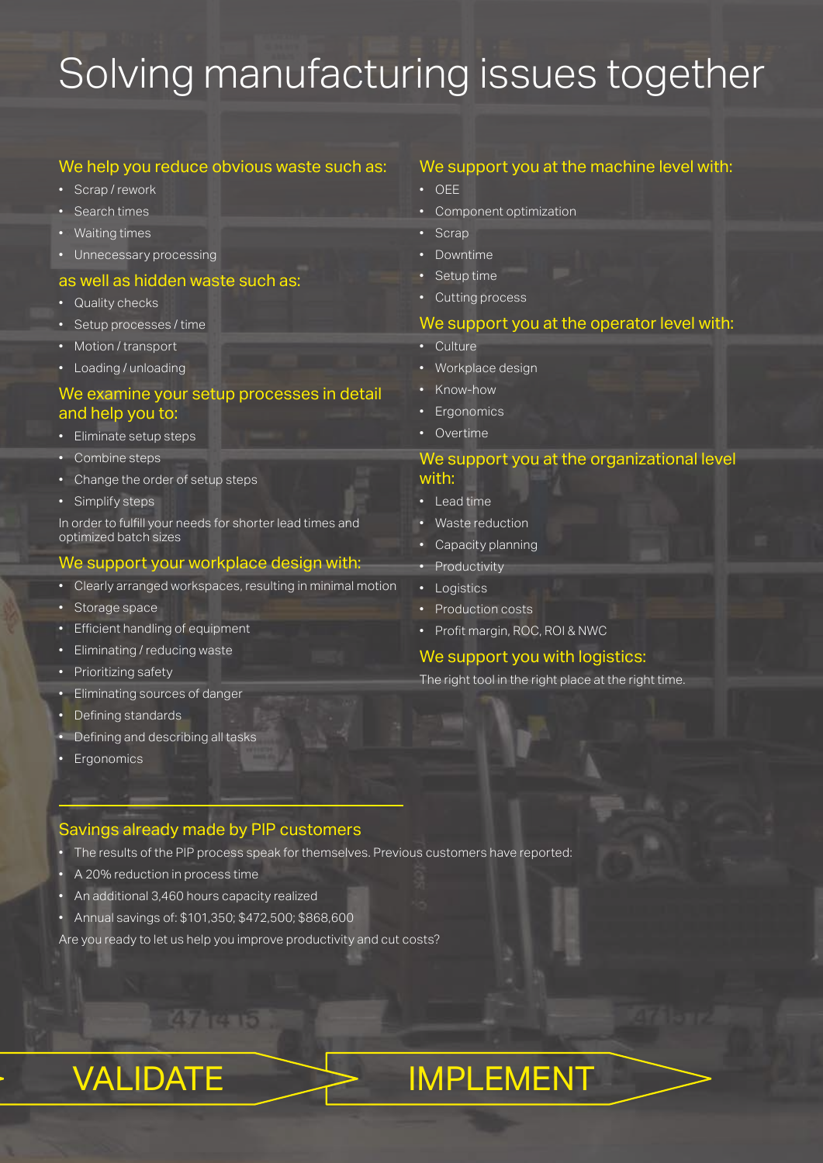## Solving manufacturing issues together

#### We help you reduce obvious waste such as:

- Scrap / rework
- Search times
- Waiting times
- Unnecessary processing

#### as well as hidden waste such as:

- Quality checks
- Setup processes / time
- Motion / transport
- Loading / unloading

#### We examine your setup processes in detail and help you to:

- Eliminate setup steps
- Combine steps
- Change the order of setup steps
- Simplify steps

In order to fulfill your needs for shorter lead times and optimized batch sizes

#### We support your workplace design with:

- Clearly arranged workspaces, resulting in minimal motion
- Storage space
- Efficient handling of equipment
- Eliminating / reducing waste
- Prioritizing safety
- Eliminating sources of danger
- Defining standards
- Defining and describing all tasks
- Ergonomics

#### Savings already made by PIP customers

- The results of the PIP process speak for themselves. Previous customers have reported:
- A 20% reduction in process time
- An additional 3,460 hours capacity realized
- Annual savings of: \$101,350; \$472,500; \$868,600

**47 ICI 15** 

Are you ready to let us help you improve productivity and cut costs?

#### We support you at the machine level with:

- OEE
- Component optimization
- Scrap
- Downtime
- Setup time
- Cutting process

#### We support you at the operator level with:

- Culture
- Workplace design
- Know-how
- Ergonomics
- Overtime

#### We support you at the organizational level with:

- Lead time
- Waste reduction
- Capacity planning
- **Productivity**
- Logistics
- Production costs
- Profit margin, ROC, ROI & NWC

#### We support you with logistics:

The right tool in the right place at the right time.

### VALIDATE > IMPLEMENT